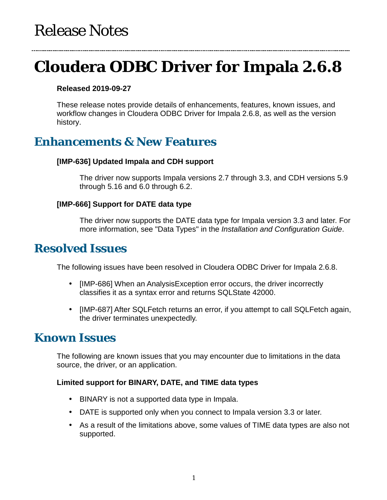# **Cloudera ODBC Driver for Impala 2.6.8**

### **Released 2019-09-27**

These release notes provide details of enhancements, features, known issues, and workflow changes in Cloudera ODBC Driver for Impala 2.6.8, as well as the version history.

# **Enhancements & New Features**

### **[IMP-636] Updated Impala and CDH support**

The driver now supports Impala versions 2.7 through 3.3, and CDH versions 5.9 through 5.16 and 6.0 through 6.2.

### **[IMP-666] Support for DATE data type**

The driver now supports the DATE data type for Impala version 3.3 and later. For more information, see "Data Types" in the *Installation and Configuration Guide*.

### **Resolved Issues**

The following issues have been resolved in Cloudera ODBC Driver for Impala 2.6.8.

- [IMP-686] When an AnalysisException error occurs, the driver incorrectly  $\mathbf{r}$ classifies it as a syntax error and returns SQLState 42000.
- [IMP-687] After SQLFetch returns an error, if you attempt to call SQLFetch again, the driver terminates unexpectedly.

## **Known Issues**

The following are known issues that you may encounter due to limitations in the data source, the driver, or an application.

### **Limited support for BINARY, DATE, and TIME data types**

- BINARY is not a supported data type in Impala.
- DATE is supported only when you connect to Impala version 3.3 or later.
- As a result of the limitations above, some values of TIME data types are also not supported.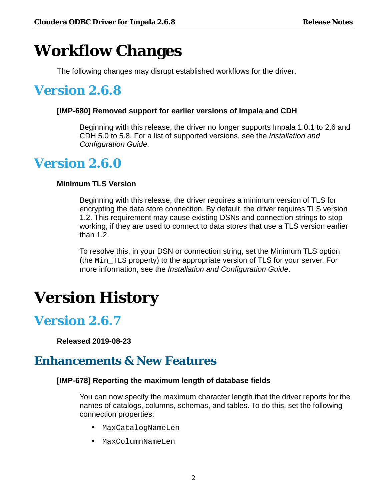# **Workflow Changes**

The following changes may disrupt established workflows for the driver.

# **Version 2.6.8**

### **[IMP-680] Removed support for earlier versions of Impala and CDH**

Beginning with this release, the driver no longer supports Impala 1.0.1 to 2.6 and CDH 5.0 to 5.8. For a list of supported versions, see the *Installation and Configuration Guide*.

# **Version 2.6.0**

### **Minimum TLS Version**

Beginning with this release, the driver requires a minimum version of TLS for encrypting the data store connection. By default, the driver requires TLS version 1.2. This requirement may cause existing DSNs and connection strings to stop working, if they are used to connect to data stores that use a TLS version earlier than 1.2.

To resolve this, in your DSN or connection string, set the Minimum TLS option (the Min\_TLS property) to the appropriate version of TLS for your server. For more information, see the *Installation and Configuration Guide*.

# **Version History**

# **Version 2.6.7**

**Released 2019-08-23**

# **Enhancements & New Features**

### **[IMP-678] Reporting the maximum length of database fields**

You can now specify the maximum character length that the driver reports for the names of catalogs, columns, schemas, and tables. To do this, set the following connection properties:

- MaxCatalogNameLen
- MaxColumnNameLen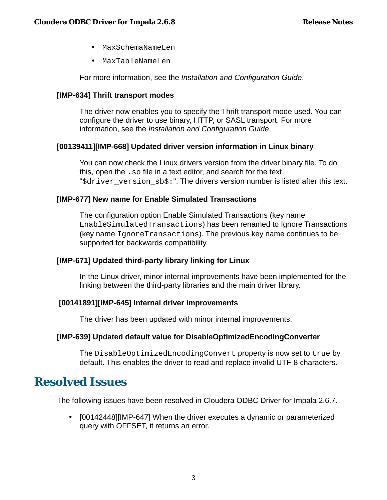- MaxSchemaNameLen  $\sim$
- MaxTableNameLen

For more information, see the *Installation and Configuration Guide*.

### **[IMP-634] Thrift transport modes**

The driver now enables you to specify the Thrift transport mode used. You can configure the driver to use binary, HTTP, or SASL transport. For more information, see the *Installation and Configuration Guide*.

#### **[00139411][IMP-668] Updated driver version information in Linux binary**

You can now check the Linux drivers version from the driver binary file. To do this, open the .so file in a text editor, and search for the text "\$driver version sb\$:". The drivers version number is listed after this text.

#### **[IMP-677] New name for Enable Simulated Transactions**

The configuration option Enable Simulated Transactions (key name EnableSimulatedTransactions) has been renamed to Ignore Transactions (key name IgnoreTransactions). The previous key name continues to be supported for backwards compatibility.

### **[IMP-671] Updated third-party library linking for Linux**

In the Linux driver, minor internal improvements have been implemented for the linking between the third-party libraries and the main driver library.

#### **[00141891][IMP-645] Internal driver improvements**

The driver has been updated with minor internal improvements.

#### **[IMP-639] Updated default value for DisableOptimizedEncodingConverter**

The DisableOptimizedEncodingConvert property is now set to true by default. This enables the driver to read and replace invalid UTF-8 characters.

### **Resolved Issues**

The following issues have been resolved in Cloudera ODBC Driver for Impala 2.6.7.

 $\mathbb{Z}^{\mathbb{Z}}$ [00142448][IMP-647] When the driver executes a dynamic or parameterized query with OFFSET, it returns an error.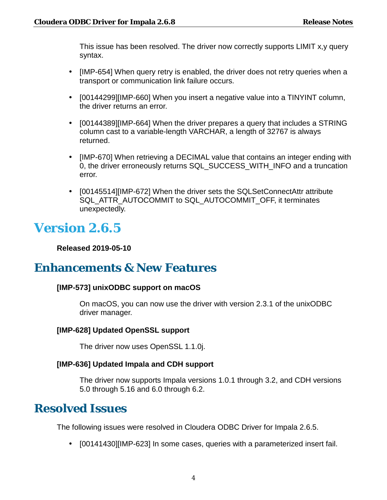This issue has been resolved. The driver now correctly supports LIMIT x,y query syntax.

- [IMP-654] When query retry is enabled, the driver does not retry queries when a transport or communication link failure occurs.
- . [00144299][IMP-660] When you insert a negative value into a TINYINT column, the driver returns an error.
- [00144389][IMP-664] When the driver prepares a query that includes a STRING column cast to a variable-length VARCHAR, a length of 32767 is always returned.
- $\mathcal{L}^{\text{max}}$ [IMP-670] When retrieving a DECIMAL value that contains an integer ending with 0, the driver erroneously returns SQL\_SUCCESS\_WITH\_INFO and a truncation error.
- . [00145514][IMP-672] When the driver sets the SQLSetConnectAttr attribute SQL\_ATTR\_AUTOCOMMIT to SQL\_AUTOCOMMIT\_OFF, it terminates unexpectedly.

# **Version 2.6.5**

**Released 2019-05-10**

## **Enhancements & New Features**

### **[IMP-573] unixODBC support on macOS**

On macOS, you can now use the driver with version 2.3.1 of the unixODBC driver manager.

### **[IMP-628] Updated OpenSSL support**

The driver now uses OpenSSL 1.1.0j.

### **[IMP-636] Updated Impala and CDH support**

The driver now supports Impala versions 1.0.1 through 3.2, and CDH versions 5.0 through 5.16 and 6.0 through 6.2.

## **Resolved Issues**

The following issues were resolved in Cloudera ODBC Driver for Impala 2.6.5.

ä, [00141430][IMP-623] In some cases, queries with a parameterized insert fail.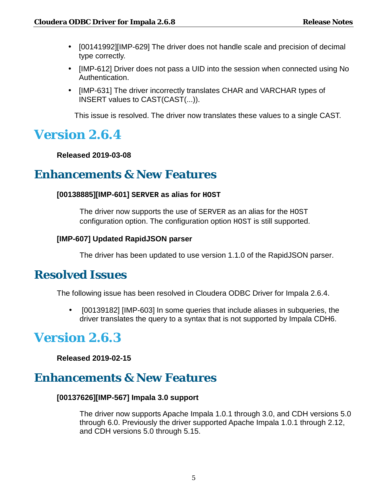- [00141992][IMP-629] The driver does not handle scale and precision of decimal type correctly.
- [IMP-612] Driver does not pass a UID into the session when connected using No Authentication.
- . [IMP-631] The driver incorrectly translates CHAR and VARCHAR types of INSERT values to CAST(CAST(...)).

This issue is resolved. The driver now translates these values to a single CAST.

# **Version 2.6.4**

**Released 2019-03-08**

### **Enhancements & New Features**

### **[00138885][IMP-601] SERVER as alias for HOST**

The driver now supports the use of SERVER as an alias for the HOST configuration option. The configuration option HOST is still supported.

### **[IMP-607] Updated RapidJSON parser**

The driver has been updated to use version 1.1.0 of the RapidJSON parser.

### **Resolved Issues**

The following issue has been resolved in Cloudera ODBC Driver for Impala 2.6.4.

[00139182] [IMP-603] In some queries that include aliases in subqueries, the ä, driver translates the query to a syntax that is not supported by Impala CDH6.

# **Version 2.6.3**

**Released 2019-02-15**

## **Enhancements & New Features**

### **[00137626][IMP-567] Impala 3.0 support**

The driver now supports Apache Impala 1.0.1 through 3.0, and CDH versions 5.0 through 6.0. Previously the driver supported Apache Impala 1.0.1 through 2.12, and CDH versions 5.0 through 5.15.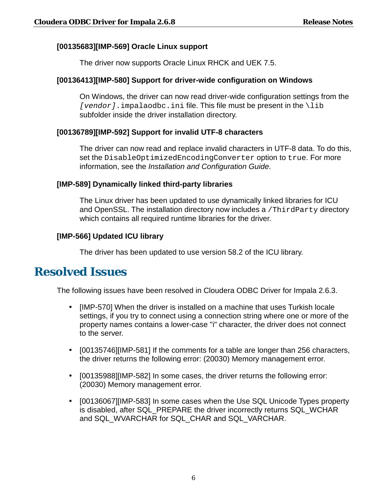### **[00135683][IMP-569] Oracle Linux support**

The driver now supports Oracle Linux RHCK and UEK 7.5.

#### **[00136413][IMP-580] Support for driver-wide configuration on Windows**

On Windows, the driver can now read driver-wide configuration settings from the  $[vendor]$ . impalaodbc. ini file. This file must be present in the  $\lambda$ lib subfolder inside the driver installation directory.

#### **[00136789][IMP-592] Support for invalid UTF-8 characters**

The driver can now read and replace invalid characters in UTF-8 data. To do this, set the DisableOptimizedEncodingConverter option to true. For more information, see the *Installation and Configuration Guide*.

#### **[IMP-589] Dynamically linked third-party libraries**

The Linux driver has been updated to use dynamically linked libraries for ICU and OpenSSL. The installation directory now includes a /ThirdParty directory which contains all required runtime libraries for the driver.

#### **[IMP-566] Updated ICU library**

The driver has been updated to use version 58.2 of the ICU library.

### **Resolved Issues**

The following issues have been resolved in Cloudera ODBC Driver for Impala 2.6.3.

- $\mathbf{r}^{\prime}$ [IMP-570] When the driver is installed on a machine that uses Turkish locale settings, if you try to connect using a connection string where one or more of the property names contains a lower-case "i" character, the driver does not connect to the server.
- [00135746][IMP-581] If the comments for a table are longer than 256 characters, the driver returns the following error: (20030) Memory management error.
- . [00135988][IMP-582] In some cases, the driver returns the following error: (20030) Memory management error.
- . [00136067][IMP-583] In some cases when the Use SQL Unicode Types property is disabled, after SQL\_PREPARE the driver incorrectly returns SQL\_WCHAR and SQL\_WVARCHAR for SQL\_CHAR and SQL\_VARCHAR.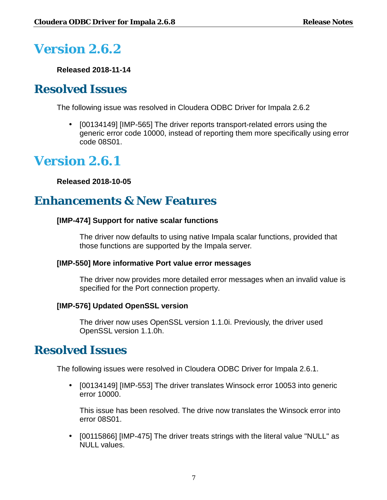# **Version 2.6.2**

**Released 2018-11-14**

# **Resolved Issues**

The following issue was resolved in Cloudera ODBC Driver for Impala 2.6.2

L, [00134149] [IMP-565] The driver reports transport-related errors using the generic error code 10000, instead of reporting them more specifically using error code 08S01.

# **Version 2.6.1**

**Released 2018-10-05**

# **Enhancements & New Features**

### **[IMP-474] Support for native scalar functions**

The driver now defaults to using native Impala scalar functions, provided that those functions are supported by the Impala server.

### **[IMP-550] More informative Port value error messages**

The driver now provides more detailed error messages when an invalid value is specified for the Port connection property.

### **[IMP-576] Updated OpenSSL version**

The driver now uses OpenSSL version 1.1.0i. Previously, the driver used OpenSSL version 1.1.0h.

## **Resolved Issues**

The following issues were resolved in Cloudera ODBC Driver for Impala 2.6.1.

[00134149] [IMP-553] The driver translates Winsock error 10053 into generic ä, error 10000.

This issue has been resolved. The drive now translates the Winsock error into error 08S01.

[00115866] [IMP-475] The driver treats strings with the literal value "NULL" as NULL values.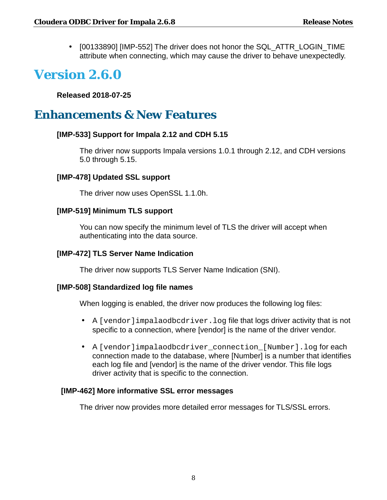$\cdot$  [00133890] [IMP-552] The driver does not honor the SQL\_ATTR\_LOGIN\_TIME attribute when connecting, which may cause the driver to behave unexpectedly.

# **Version 2.6.0**

**Released 2018-07-25**

# **Enhancements & New Features**

### **[IMP-533] Support for Impala 2.12 and CDH 5.15**

The driver now supports Impala versions 1.0.1 through 2.12, and CDH versions 5.0 through 5.15.

### **[IMP-478] Updated SSL support**

The driver now uses OpenSSL 1.1.0h.

### **[IMP-519] Minimum TLS support**

You can now specify the minimum level of TLS the driver will accept when authenticating into the data source.

### **[IMP-472] TLS Server Name Indication**

The driver now supports TLS Server Name Indication (SNI).

### **[IMP-508] Standardized log file names**

When logging is enabled, the driver now produces the following log files:

- A [vendor]impalaodbcdriver.log file that logs driver activity that is not  $\bullet$  . specific to a connection, where [vendor] is the name of the driver vendor.
- A [vendor]impalaodbcdriver\_connection\_[Number].log for each connection made to the database, where [Number] is a number that identifies each log file and [vendor] is the name of the driver vendor. This file logs driver activity that is specific to the connection.

### **[IMP-462] More informative SSL error messages**

The driver now provides more detailed error messages for TLS/SSL errors.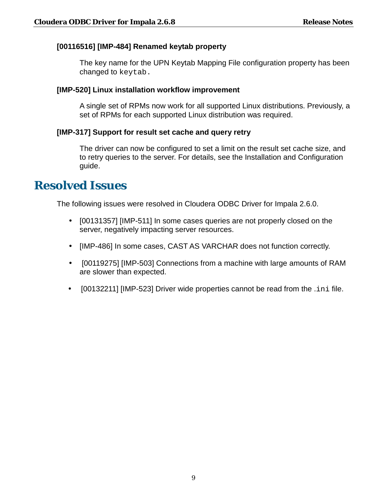### **[00116516] [IMP-484] Renamed keytab property**

The key name for the UPN Keytab Mapping File configuration property has been changed to keytab.

### **[IMP-520] Linux installation workflow improvement**

A single set of RPMs now work for all supported Linux distributions. Previously, a set of RPMs for each supported Linux distribution was required.

### **[IMP-317] Support for result set cache and query retry**

The driver can now be configured to set a limit on the result set cache size, and to retry queries to the server. For details, see the Installation and Configuration guide.

### **Resolved Issues**

The following issues were resolved in Cloudera ODBC Driver for Impala 2.6.0.

- [00131357] [IMP-511] In some cases queries are not properly closed on the server, negatively impacting server resources.
- [IMP-486] In some cases, CAST AS VARCHAR does not function correctly.
- [00119275] [IMP-503] Connections from a machine with large amounts of RAM are slower than expected.
- [00132211] [IMP-523] Driver wide properties cannot be read from the .ini file.ä,